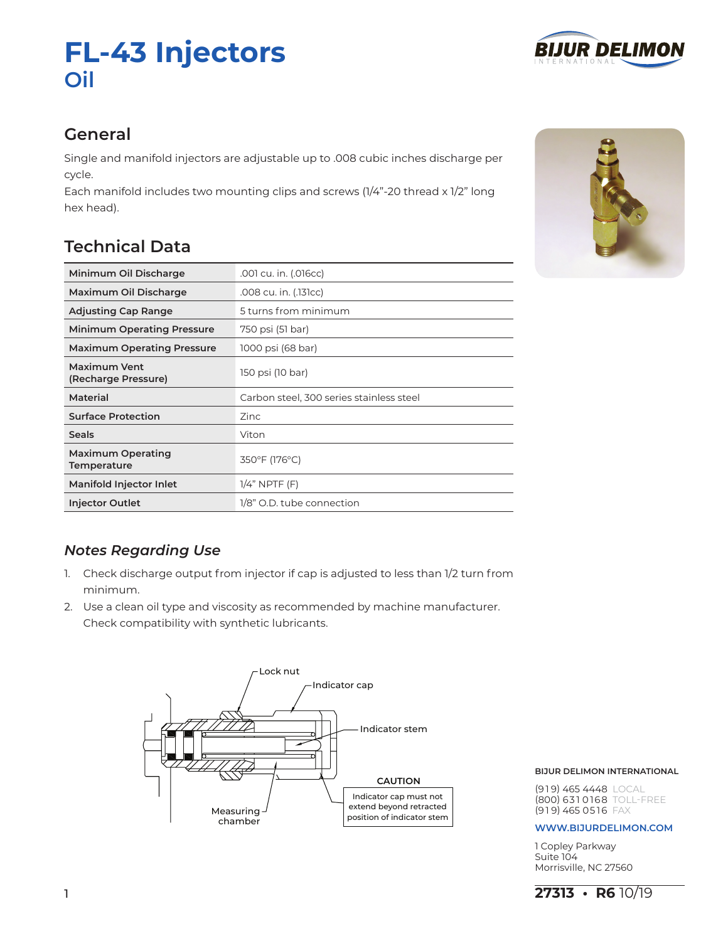# **FL-43 Injectors Oil**



# **General**

Single and manifold injectors are adjustable up to .008 cubic inches discharge per cycle.

Each manifold includes two mounting clips and screws (1/4"-20 thread x 1/2" long hex head).

# **Technical Data**

| Minimum Oil Discharge                          | .001 cu. in. (.016cc)                    |  |
|------------------------------------------------|------------------------------------------|--|
| Maximum Oil Discharge                          | .008 cu. in. (.131cc)                    |  |
| <b>Adjusting Cap Range</b>                     | 5 turns from minimum                     |  |
| <b>Minimum Operating Pressure</b>              | 750 psi (51 bar)                         |  |
| <b>Maximum Operating Pressure</b>              | 1000 psi (68 bar)                        |  |
| <b>Maximum Vent</b><br>(Recharge Pressure)     | 150 psi (10 bar)                         |  |
| Material                                       | Carbon steel, 300 series stainless steel |  |
| <b>Surface Protection</b>                      | Zinc                                     |  |
| <b>Seals</b>                                   | Viton                                    |  |
| <b>Maximum Operating</b><br><b>Temperature</b> | 350°F (176°C)                            |  |
| <b>Manifold Injector Inlet</b>                 | $1/4$ " NPTF $(F)$                       |  |
| <b>Injector Outlet</b>                         | 1/8" O.D. tube connection                |  |



# *Notes Regarding Use*

- 1. Check discharge output from injector if cap is adjusted to less than 1/2 turn from minimum.
- 2. Use a clean oil type and viscosity as recommended by machine manufacturer. Check compatibility with synthetic lubricants.



# **BIJUR DELIMON INTERNATIONAL**

(9 1 9) 465 4448 LOCAL (800) 631 0168 TOLL-FREE  $(919)$  465 0516 FAX

## **www.bijurdelimon.coM**

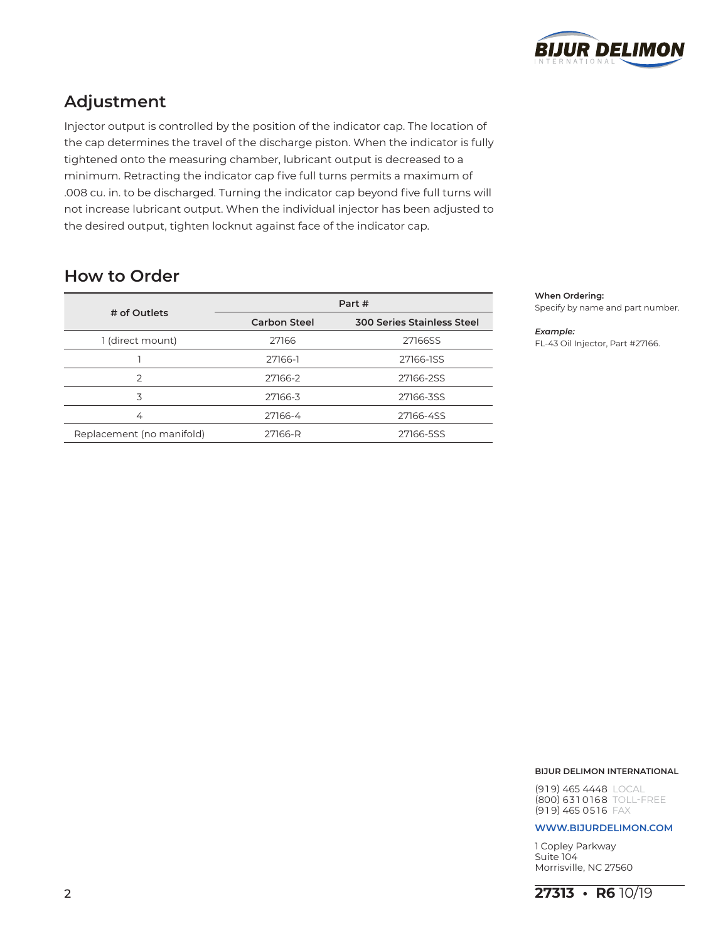

# **Adjustment**

Injector output is controlled by the position of the indicator cap. The location of the cap determines the travel of the discharge piston. When the indicator is fully tightened onto the measuring chamber, lubricant output is decreased to a minimum. Retracting the indicator cap five full turns permits a maximum of .008 cu. in. to be discharged. Turning the indicator cap beyond five full turns will not increase lubricant output. When the individual injector has been adjusted to the desired output, tighten locknut against face of the indicator cap.

|                           | Part #              |                                   |
|---------------------------|---------------------|-----------------------------------|
| # of Outlets              | <b>Carbon Steel</b> | <b>300 Series Stainless Steel</b> |
| 1 (direct mount)          | 27166               | 27166SS                           |
|                           | 27166-1             | 27166-1SS                         |
| っ                         | 27166-2             | 27166-2SS                         |
| 3                         | 27166-3             | 27166-3SS                         |
| 4                         | 27166-4             | 27166-4SS                         |
| Replacement (no manifold) | 27166-R             | 27166-5SS                         |

# **How to Order**

## **When Ordering:**

Specify by name and part number.

### *Example:*

FL-43 Oil Injector, Part #27166.

## **BIJUR DELIMON INTERNATIONAL**

(9 1 9) 465 4448 LOCAL (800) 631 0168 TOLL-FREE  $(919)$  465 0516 FAX

## **www.bijurdelimon.coM**

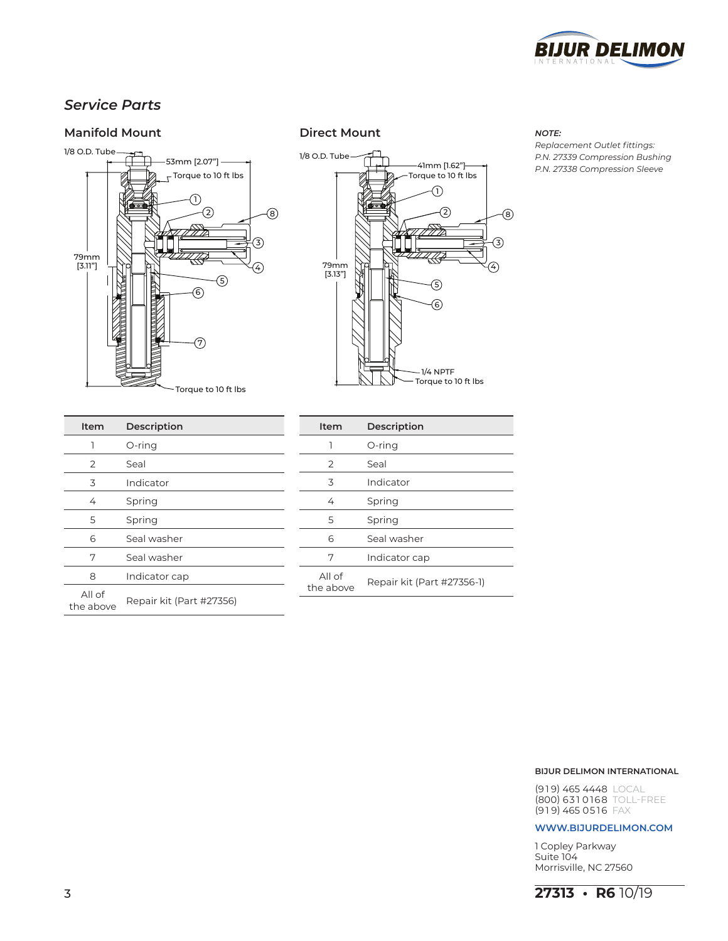

# *Service Parts*

# **Manifold Mount Direct Mount** *NOTE:*

# 1/8 O.D. Tube </u> 53mm [2.07"]  $\Gamma$ Torque to 10 ft lbs 1  $\circled{2}$ 8 ř٢ 3 79mm ⋘ [3.11"]  $\left( 4\right)$  $\circledS$ 人名 6  $\widehat{\mathcal{F}}$ Torque to 10 ft lbs



*Replacement Outlet fittings: P.N. 27339 Compression Bushing P.N. 27338 Compression Sleeve*

| Item                | <b>Description</b>       |
|---------------------|--------------------------|
| ٦                   | O-ring                   |
| 2                   | Seal                     |
| 3                   | Indicator                |
| 4                   | Spring                   |
| 5                   | Spring                   |
| 6                   | Seal washer              |
| 7                   | Seal washer              |
| 8                   | Indicator cap            |
| All of<br>the above | Repair kit (Part #27356) |
|                     |                          |

| Item                | Description                |
|---------------------|----------------------------|
| 1                   | O-ring                     |
| 2                   | Seal                       |
| 3                   | Indicator                  |
| 4                   | Spring                     |
| 5                   | Spring                     |
| 6                   | Seal washer                |
| 7                   | Indicator cap              |
| All of<br>the above | Repair kit (Part #27356-1) |

## **BIJUR DELIMON INTERNATIONAL**

(9 1 9) 465 4448 LOCAL (800) 631 0168 TOLL-FREE  $(919)$  465 0516 FAX

## **www.bijurdelimon.coM**